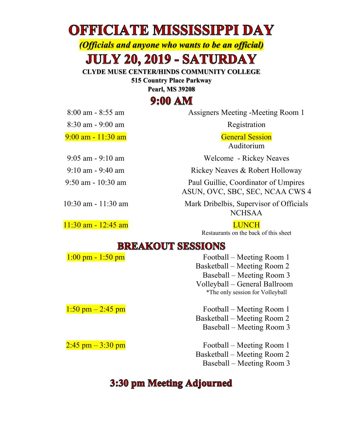# **OFFICIATE MISSISSIPPI DAY**

*(Officials and anyone who wants to be an official)*

# **JULY 20, 2019 - SATURDAY**

**CLYDE MUSE CENTER/HINDS COMMUNITY COLLEGE**

**515 Country Place Parkway**

**Pearl, MS 39208**

## $9:00 AM$

8:00 am - 8:55 am Assigners Meeting -Meeting Room 1

Auditorium

9:05 am - 9:10 am Welcome - Rickey Neaves

9:10 am - 9:40 am Rickey Neaves & Robert Holloway

9:50 am - 10:30 am Paul Guillie, Coordinator of Umpires ASUN, OVC, SBC, SEC, NCAA CWS 4

10:30 am - 11:30 am Mark Dribelbis, Supervisor of Officials NCHSAA

Restaurants on the back of this sheet

#### **BREAKOUT SESSIONS**

| $1:00 \text{ pm} - 1:50 \text{ pm}$ | Football – Meeting Room 1        |  |  |
|-------------------------------------|----------------------------------|--|--|
|                                     | Basketball – Meeting Room 2      |  |  |
|                                     | Baseball – Meeting Room 3        |  |  |
|                                     | Volleyball – General Ballroom    |  |  |
|                                     | *The only session for Volleyball |  |  |
| $1:50$ pm $-2:45$ pm                | Football – Meeting Room 1        |  |  |
|                                     | Basketball – Meeting Room 2      |  |  |
|                                     | Baseball – Meeting Room 3        |  |  |
| $2:45$ pm $-3:30$ pm                | Football – Meeting Room 1        |  |  |
|                                     | Basketball – Meeting Room 2      |  |  |
|                                     | Baseball – Meeting Room 3        |  |  |

### 3:30 pm Meeting Adjourned

8:30 am - 9:00 am Registration

9:00 am - 11:30 am General Session

11:30 am - 12:45 am LUNCH